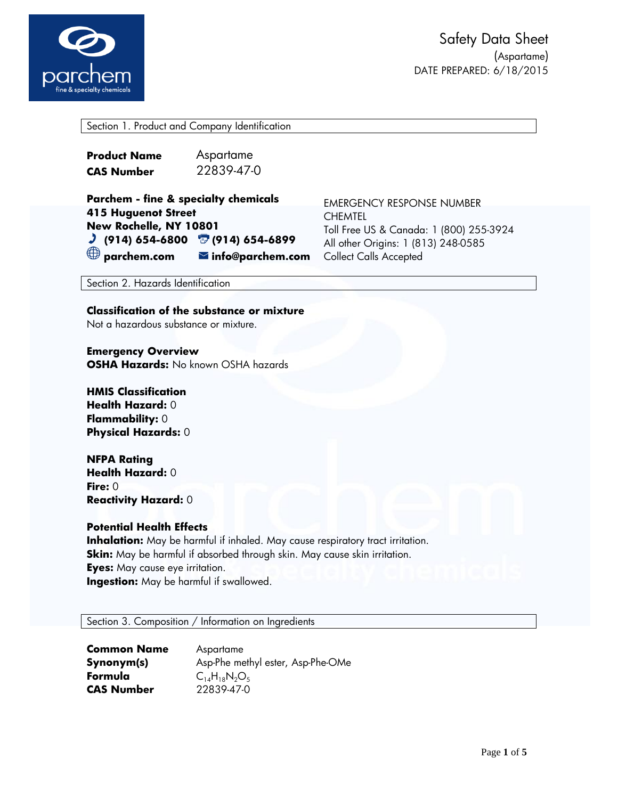

Section 1. Product and Company Identification

| <b>Product Name</b> | Aspartame  |
|---------------------|------------|
| <b>CAS Number</b>   | 22839-47-0 |

| <b>Parchem - fine &amp; specialty chemicals</b>  |                                 |
|--------------------------------------------------|---------------------------------|
| <b>415 Huguenot Street</b>                       |                                 |
| New Rochelle, NY 10801                           |                                 |
| $J$ (914) 654-6800 $\overline{U}$ (914) 654-6899 |                                 |
| $\bigoplus$ parchem.com                          | $\blacksquare$ info@parchem.com |

EMERGENCY RESPONSE NUMBER CHEMTEL Toll Free US & Canada: 1 (800) 255-3924 All other Origins: 1 (813) 248-0585 **n** Collect Calls Accepted

Section 2. Hazards Identification

**Classification of the substance or mixture** Not a hazardous substance or mixture.

**Emergency Overview OSHA Hazards:** No known OSHA hazards

**HMIS Classification Health Hazard:** 0 **Flammability:** 0 **Physical Hazards:** 0

**NFPA Rating Health Hazard:** 0 **Fire:** 0 **Reactivity Hazard:** 0

## **Potential Health Effects**

**Inhalation:** May be harmful if inhaled. May cause respiratory tract irritation. **Skin:** May be harmful if absorbed through skin. May cause skin irritation. **Eyes:** May cause eye irritation. **Ingestion:** May be harmful if swallowed.

Section 3. Composition / Information on Ingredients

| <b>Common Name</b> | Aspartame                         |
|--------------------|-----------------------------------|
| Synonym(s)         | Asp-Phe methyl ester, Asp-Phe-OMe |
| Formula            | $C_{14}H_{18}N_2O_5$              |
| <b>CAS Number</b>  | 22839-47-0                        |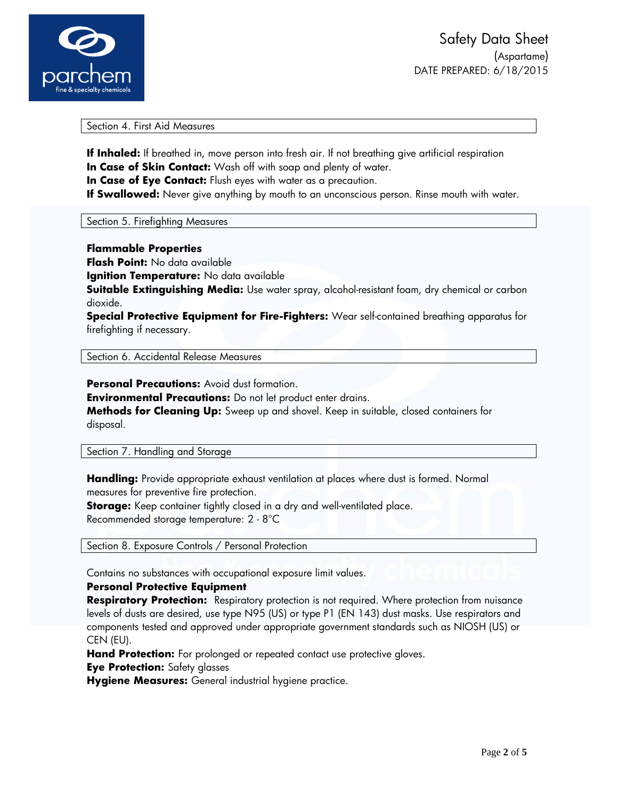

Section 4. First Aid Measures

**If Inhaled:** If breathed in, move person into fresh air. If not breathing give artificial respiration **In Case of Skin Contact:** Wash off with soap and plenty of water.

**In Case of Eye Contact:** Flush eyes with water as a precaution.

**If Swallowed:** Never give anything by mouth to an unconscious person. Rinse mouth with water.

Section 5. Firefighting Measures

**Flammable Properties**

**Flash Point:** No data available

**Ignition Temperature:** No data available

**Suitable Extinguishing Media:** Use water spray, alcohol-resistant foam, dry chemical or carbon dioxide.

**Special Protective Equipment for Fire-Fighters:** Wear self-contained breathing apparatus for firefighting if necessary.

Section 6. Accidental Release Measures

**Personal Precautions: Avoid dust formation.** 

**Environmental Precautions:** Do not let product enter drains.

**Methods for Cleaning Up:** Sweep up and shovel. Keep in suitable, closed containers for disposal.

Section 7. Handling and Storage

**Handling:** Provide appropriate exhaust ventilation at places where dust is formed. Normal measures for preventive fire protection.

**Storage:** Keep container tightly closed in a dry and well-ventilated place. Recommended storage temperature: 2 - 8°C

Section 8. Exposure Controls / Personal Protection

Contains no substances with occupational exposure limit values.

## **Personal Protective Equipment**

**Respiratory Protection:** Respiratory protection is not required. Where protection from nuisance levels of dusts are desired, use type N95 (US) or type P1 (EN 143) dust masks. Use respirators and components tested and approved under appropriate government standards such as NIOSH (US) or CEN (EU).

**Hand Protection:** For prolonged or repeated contact use protective gloves.

**Eye Protection:** Safety glasses

**Hygiene Measures:** General industrial hygiene practice.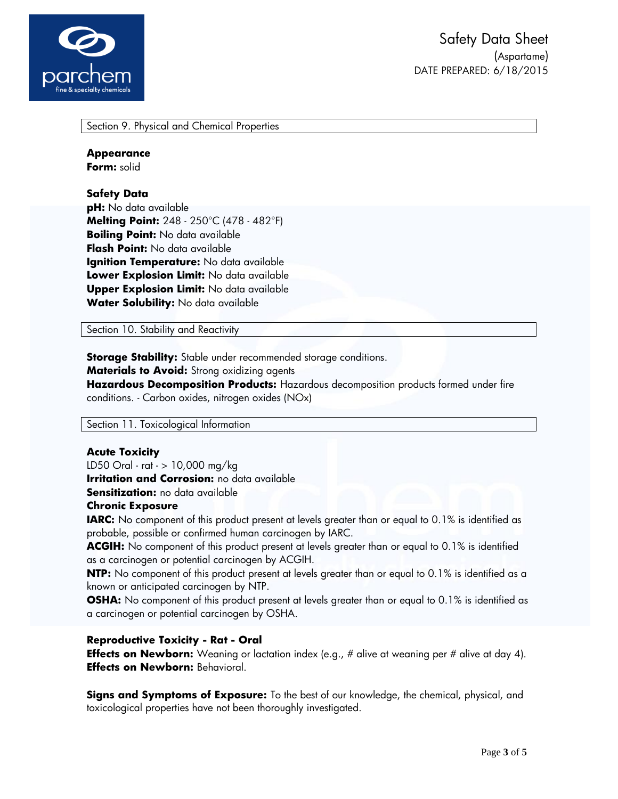

Section 9. Physical and Chemical Properties

#### **Appearance**

**Form:** solid

# **Safety Data**

**pH:** No data available **Melting Point:** 248 - 250°C (478 - 482°F) **Boiling Point:** No data available **Flash Point:** No data available **Ignition Temperature:** No data available **Lower Explosion Limit:** No data available **Upper Explosion Limit:** No data available **Water Solubility:** No data available

Section 10. Stability and Reactivity

**Storage Stability:** Stable under recommended storage conditions. **Materials to Avoid:** Strong oxidizing agents **Hazardous Decomposition Products:** Hazardous decomposition products formed under fire conditions. - Carbon oxides, nitrogen oxides (NOx)

Section 11. Toxicological Information

## **Acute Toxicity**

LD50 Oral - rat - > 10,000 mg/kg

**Irritation and Corrosion:** no data available

**Sensitization:** no data available

#### **Chronic Exposure**

**IARC:** No component of this product present at levels greater than or equal to 0.1% is identified as probable, possible or confirmed human carcinogen by IARC.

**ACGIH:** No component of this product present at levels greater than or equal to 0.1% is identified as a carcinogen or potential carcinogen by ACGIH.

**NTP:** No component of this product present at levels greater than or equal to 0.1% is identified as a known or anticipated carcinogen by NTP.

**OSHA:** No component of this product present at levels greater than or equal to 0.1% is identified as a carcinogen or potential carcinogen by OSHA.

## **Reproductive Toxicity - Rat - Oral**

**Effects on Newborn:** Weaning or lactation index (e.g., # alive at weaning per # alive at day 4). **Effects on Newborn:** Behavioral.

**Signs and Symptoms of Exposure:** To the best of our knowledge, the chemical, physical, and toxicological properties have not been thoroughly investigated.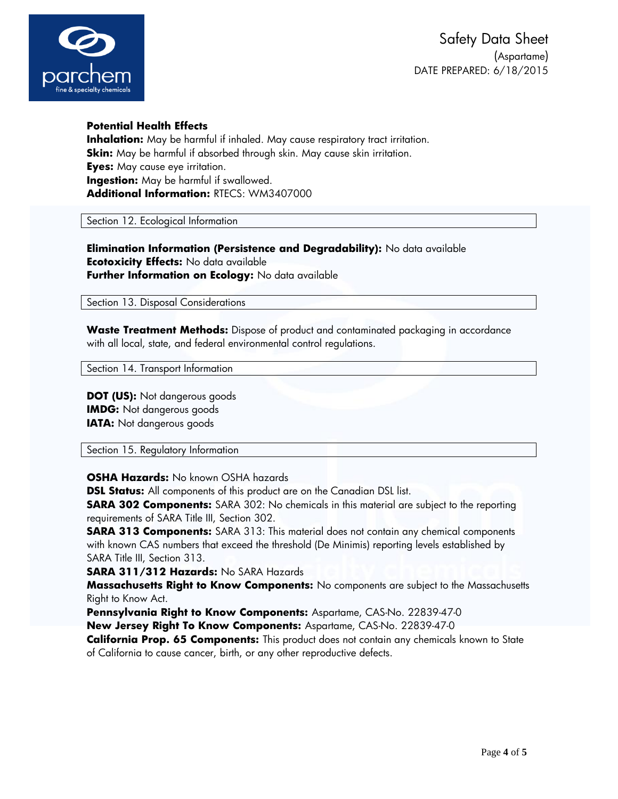

# **Potential Health Effects**

**Inhalation:** May be harmful if inhaled. May cause respiratory tract irritation. **Skin:** May be harmful if absorbed through skin. May cause skin irritation. **Eyes:** May cause eye irritation. **Ingestion:** May be harmful if swallowed. **Additional Information:** RTECS: WM3407000

Section 12. Ecological Information

**Elimination Information (Persistence and Degradability):** No data available **Ecotoxicity Effects:** No data available **Further Information on Ecology:** No data available

Section 13. Disposal Considerations

**Waste Treatment Methods:** Dispose of product and contaminated packaging in accordance with all local, state, and federal environmental control regulations.

Section 14. Transport Information

**DOT (US):** Not dangerous goods **IMDG:** Not dangerous goods **IATA:** Not dangerous goods

Section 15. Regulatory Information

**OSHA Hazards:** No known OSHA hazards

**DSL Status:** All components of this product are on the Canadian DSL list.

**SARA 302 Components:** SARA 302: No chemicals in this material are subject to the reporting requirements of SARA Title III, Section 302.

**SARA 313 Components:** SARA 313: This material does not contain any chemical components with known CAS numbers that exceed the threshold (De Minimis) reporting levels established by SARA Title III, Section 313.

**SARA 311/312 Hazards:** No SARA Hazards

**Massachusetts Right to Know Components:** No components are subject to the Massachusetts Right to Know Act.

**Pennsylvania Right to Know Components:** Aspartame, CAS-No. 22839-47-0

**New Jersey Right To Know Components:** Aspartame, CAS-No. 22839-47-0

**California Prop. 65 Components:** This product does not contain any chemicals known to State of California to cause cancer, birth, or any other reproductive defects.